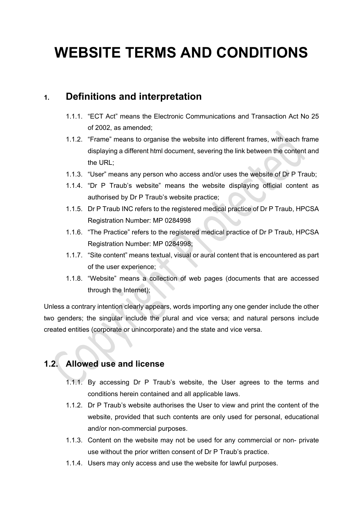# **WEBSITE TERMS AND CONDITIONS**

# **1. Definitions and interpretation**

- 1.1.1. "ECT Act" means the Electronic Communications and Transaction Act No 25 of 2002, as amended;
- 1.1.2. "Frame" means to organise the website into different frames, with each frame displaying a different html document, severing the link between the content and the URL;
- 1.1.3. "User" means any person who access and/or uses the website of Dr P Traub;
- 1.1.4. "Dr P Traub's website" means the website displaying official content as authorised by Dr P Traub's website practice;
- 1.1.5. Dr P Traub INC refers to the registered medical practice of Dr P Traub, HPCSA Registration Number: MP 0284998
- 1.1.6. "The Practice" refers to the registered medical practice of Dr P Traub, HPCSA Registration Number: MP 0284998;
- 1.1.7. "Site content" means textual, visual or aural content that is encountered as part of the user experience;
- 1.1.8. "Website" means a collection of web pages (documents that are accessed through the Internet);

Unless a contrary intention clearly appears, words importing any one gender include the other two genders; the singular include the plural and vice versa; and natural persons include created entities (corporate or unincorporate) and the state and vice versa.

# **1.2. Allowed use and license**

- 1.1.1. By accessing Dr P Traub's website, the User agrees to the terms and conditions herein contained and all applicable laws.
- 1.1.2. Dr P Traub's website authorises the User to view and print the content of the website, provided that such contents are only used for personal, educational and/or non-commercial purposes.
- 1.1.3. Content on the website may not be used for any commercial or non- private use without the prior written consent of Dr P Traub's practice.
- 1.1.4. Users may only access and use the website for lawful purposes.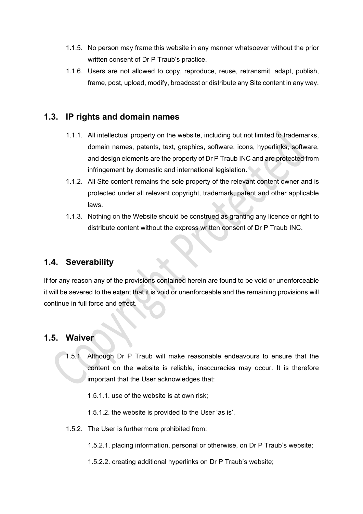- 1.1.5. No person may frame this website in any manner whatsoever without the prior written consent of Dr P Traub's practice.
- 1.1.6. Users are not allowed to copy, reproduce, reuse, retransmit, adapt, publish, frame, post, upload, modify, broadcast or distribute any Site content in any way.

### **1.3. IP rights and domain names**

- 1.1.1. All intellectual property on the website, including but not limited to trademarks, domain names, patents, text, graphics, software, icons, hyperlinks, software, and design elements are the property of Dr P Traub INC and are protected from infringement by domestic and international legislation.
- 1.1.2. All Site content remains the sole property of the relevant content owner and is protected under all relevant copyright, trademark, patent and other applicable laws.
- 1.1.3. Nothing on the Website should be construed as granting any licence or right to distribute content without the express written consent of Dr P Traub INC.

#### **1.4. Severability**

If for any reason any of the provisions contained herein are found to be void or unenforceable it will be severed to the extent that it is void or unenforceable and the remaining provisions will continue in full force and effect.

#### **1.5. Waiver**

1.5.1 Although Dr P Traub will make reasonable endeavours to ensure that the content on the website is reliable, inaccuracies may occur. It is therefore important that the User acknowledges that:

1.5.1.1. use of the website is at own risk;

1.5.1.2. the website is provided to the User 'as is'.

1.5.2. The User is furthermore prohibited from:

1.5.2.1. placing information, personal or otherwise, on Dr P Traub's website;

1.5.2.2. creating additional hyperlinks on Dr P Traub's website;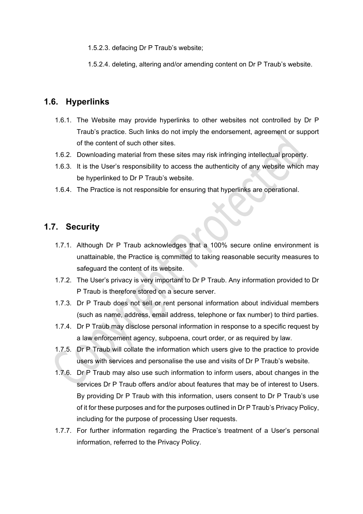1.5.2.3. defacing Dr P Traub's website;

1.5.2.4. deleting, altering and/or amending content on Dr P Traub's website.

### **1.6. Hyperlinks**

- 1.6.1. The Website may provide hyperlinks to other websites not controlled by Dr P Traub's practice. Such links do not imply the endorsement, agreement or support of the content of such other sites.
- 1.6.2. Downloading material from these sites may risk infringing intellectual property.
- 1.6.3. It is the User's responsibility to access the authenticity of any website which may be hyperlinked to Dr P Traub's website.
- 1.6.4. The Practice is not responsible for ensuring that hyperlinks are operational.

# **1.7. Security**

- 1.7.1. Although Dr P Traub acknowledges that a 100% secure online environment is unattainable, the Practice is committed to taking reasonable security measures to safeguard the content of its website.
- 1.7.2. The User's privacy is very important to Dr P Traub. Any information provided to Dr P Traub is therefore stored on a secure server.
- 1.7.3. Dr P Traub does not sell or rent personal information about individual members (such as name, address, email address, telephone or fax number) to third parties.
- 1.7.4. Dr P Traub may disclose personal information in response to a specific request by a law enforcement agency, subpoena, court order, or as required by law.
- 1.7.5. Dr P Traub will collate the information which users give to the practice to provide users with services and personalise the use and visits of Dr P Traub's website.
- 1.7.6. Dr P Traub may also use such information to inform users, about changes in the services Dr P Traub offers and/or about features that may be of interest to Users. By providing Dr P Traub with this information, users consent to Dr P Traub's use of it for these purposes and for the purposes outlined in Dr P Traub's Privacy Policy, including for the purpose of processing User requests.
- 1.7.7. For further information regarding the Practice's treatment of a User's personal information, referred to the Privacy Policy.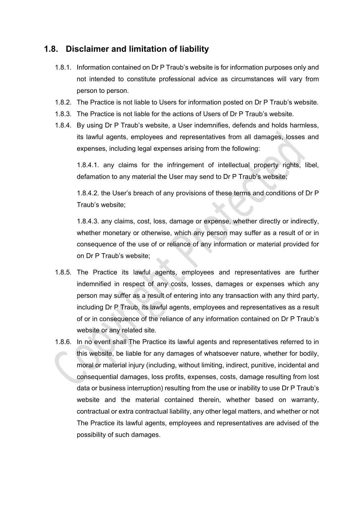## **1.8. Disclaimer and limitation of liability**

- 1.8.1. Information contained on Dr P Traub's website is for information purposes only and not intended to constitute professional advice as circumstances will vary from person to person.
- 1.8.2. The Practice is not liable to Users for information posted on Dr P Traub's website.
- 1.8.3. The Practice is not liable for the actions of Users of Dr P Traub's website.
- 1.8.4. By using Dr P Traub's website, a User indemnifies, defends and holds harmless, its lawful agents, employees and representatives from all damages, losses and expenses, including legal expenses arising from the following:

1.8.4.1. any claims for the infringement of intellectual property rights, libel, defamation to any material the User may send to Dr P Traub's website;

1.8.4.2. the User's breach of any provisions of these terms and conditions of Dr P Traub's website;

1.8.4.3. any claims, cost, loss, damage or expense, whether directly or indirectly, whether monetary or otherwise, which any person may suffer as a result of or in consequence of the use of or reliance of any information or material provided for on Dr P Traub's website;

- 1.8.5. The Practice its lawful agents, employees and representatives are further indemnified in respect of any costs, losses, damages or expenses which any person may suffer as a result of entering into any transaction with any third party, including Dr P Traub, its lawful agents, employees and representatives as a result of or in consequence of the reliance of any information contained on Dr P Traub's website or any related site.
- 1.8.6. In no event shall The Practice its lawful agents and representatives referred to in this website, be liable for any damages of whatsoever nature, whether for bodily, moral or material injury (including, without limiting, indirect, punitive, incidental and consequential damages, loss profits, expenses, costs, damage resulting from lost data or business interruption) resulting from the use or inability to use Dr P Traub's website and the material contained therein, whether based on warranty, contractual or extra contractual liability, any other legal matters, and whether or not The Practice its lawful agents, employees and representatives are advised of the possibility of such damages.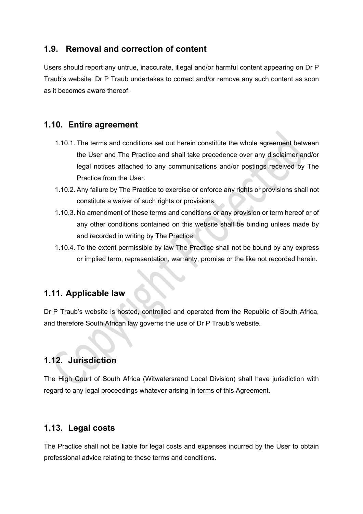### **1.9. Removal and correction of content**

Users should report any untrue, inaccurate, illegal and/or harmful content appearing on Dr P Traub's website. Dr P Traub undertakes to correct and/or remove any such content as soon as it becomes aware thereof.

#### **1.10. Entire agreement**

- 1.10.1. The terms and conditions set out herein constitute the whole agreement between the User and The Practice and shall take precedence over any disclaimer and/or legal notices attached to any communications and/or postings received by The Practice from the User.
- 1.10.2. Any failure by The Practice to exercise or enforce any rights or provisions shall not constitute a waiver of such rights or provisions.
- 1.10.3. No amendment of these terms and conditions or any provision or term hereof or of any other conditions contained on this website shall be binding unless made by and recorded in writing by The Practice.
- 1.10.4. To the extent permissible by law The Practice shall not be bound by any express or implied term, representation, warranty, promise or the like not recorded herein.

#### **1.11. Applicable law**

Dr P Traub's website is hosted, controlled and operated from the Republic of South Africa, and therefore South African law governs the use of Dr P Traub's website.

# **1.12. Jurisdiction**

The High Court of South Africa (Witwatersrand Local Division) shall have jurisdiction with regard to any legal proceedings whatever arising in terms of this Agreement.

#### **1.13. Legal costs**

The Practice shall not be liable for legal costs and expenses incurred by the User to obtain professional advice relating to these terms and conditions.